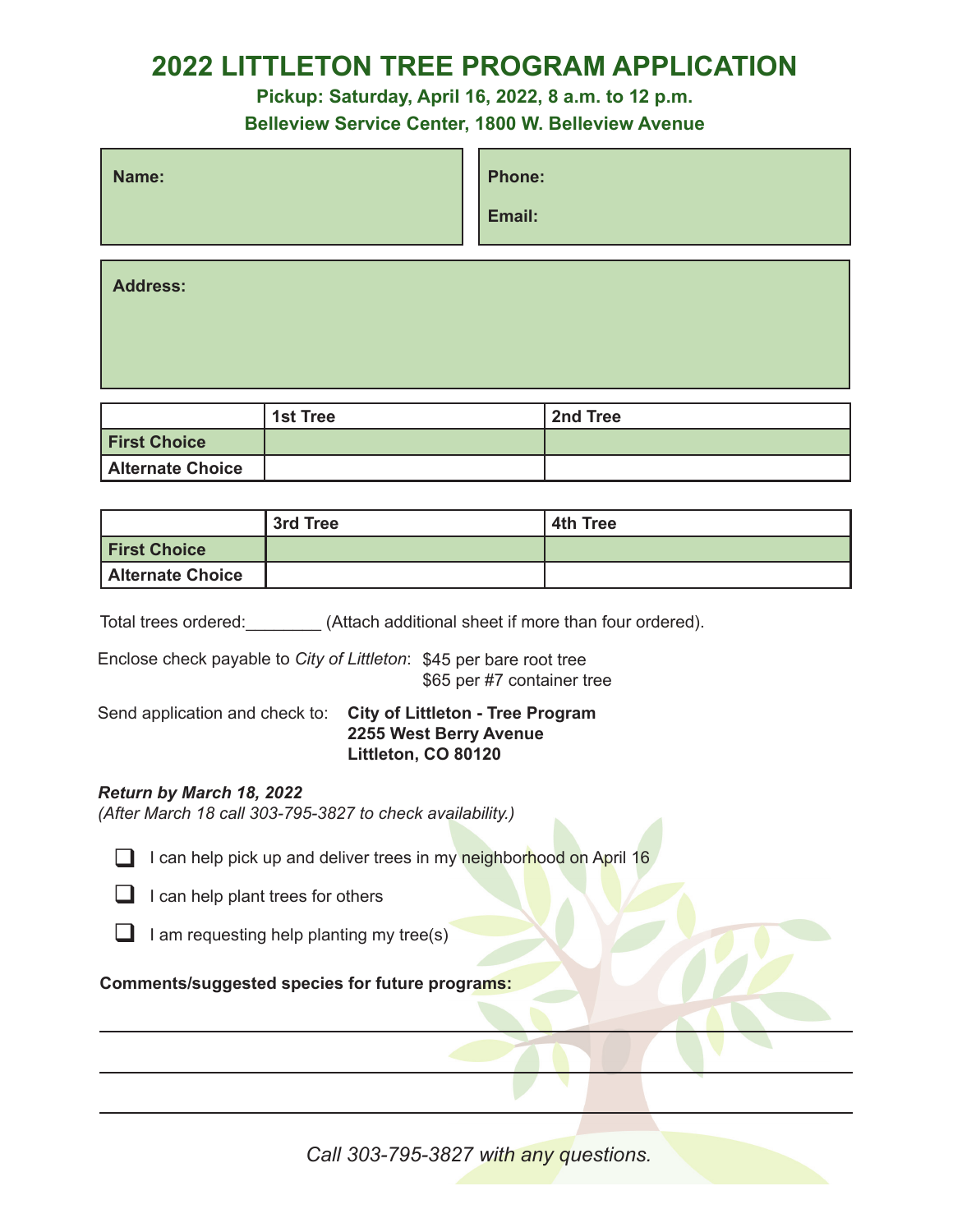## **2022 LITTLETON TREE PROGRAM APPLICATION**

**Pickup: Saturday, April 16, 2022, 8 a.m. to 12 p.m.**

**Belleview Service Center, 1800 W. Belleview Avenue**

| Name: | <b>Phone:</b> |
|-------|---------------|
|       | Email:        |
|       |               |

**Address:**

|                         | <b>1st Tree</b> | 2nd Tree |
|-------------------------|-----------------|----------|
| <b>First Choice</b>     |                 |          |
| <b>Alternate Choice</b> |                 |          |

|                         | 3rd Tree | 4th Tree |
|-------------------------|----------|----------|
| <b>First Choice</b>     |          |          |
| <b>Alternate Choice</b> |          |          |

Total trees ordered: (Attach additional sheet if more than four ordered).

Enclose check payable to *City of Littleton*: \$45 per bare root tree \$65 per #7 container tree

#### Send application and check to: **City of Littleton - Tree Program 2255 West Berry Avenue Littleton, CO 80120**

#### *Return by March 18, 2022*

*(After March 18 call 303-795-3827 to check availability.)*

- **q I** can help pick up and deliver trees in my neighborhood on April 16
- $\Box$  I can help plant trees for others
- $\Box$  I am requesting help planting my tree(s)

### **Comments/suggested species for future programs:**

*Call 303-795-3827 with any questions.*